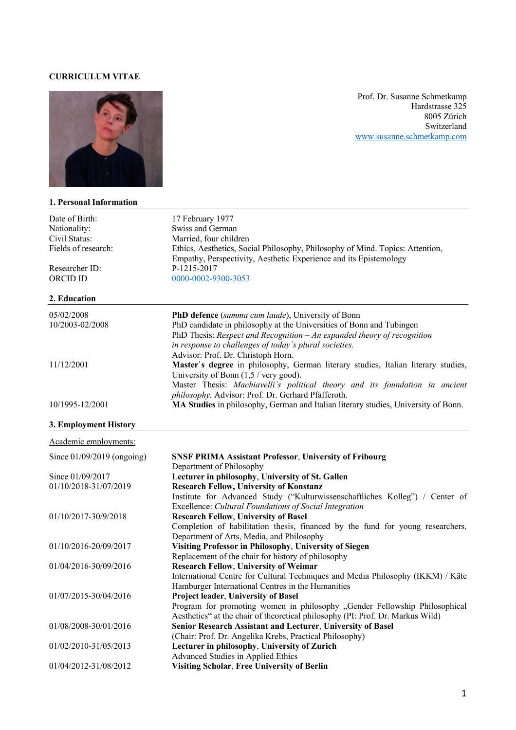#### **CURRICULUM VITAE**



#### **1. Personal Information**

Prof. Dr. Susanne Schmetkamp Hardstrasse 325 8005 Zürich Switzerland www.susanne.schmetkamp.com

| Date of Birth:               | 17 February 1977                                                                   |
|------------------------------|------------------------------------------------------------------------------------|
| Nationality:                 | Swiss and German                                                                   |
| Civil Status:                | Married, four children                                                             |
| Fields of research:          | Ethics, Aesthetics, Social Philosophy, Philosophy of Mind. Topics: Attention,      |
|                              | Empathy, Perspectivity, Aesthetic Experience and its Epistemology                  |
| Researcher ID:               | P-1215-2017                                                                        |
| ORCID ID                     | 0000-0002-9300-3053                                                                |
| 2. Education                 |                                                                                    |
| 05/02/2008                   | PhD defence (summa cum laude), University of Bonn                                  |
| 10/2003-02/2008              | PhD candidate in philosophy at the Universities of Bonn and Tubingen               |
|                              | PhD Thesis: Respect and Recognition $-An$ expanded theory of recognition           |
|                              | in response to challenges of today's plural societies.                             |
|                              | Advisor: Prof. Dr. Christoph Horn.                                                 |
| 11/12/2001                   | Master's degree in philosophy, German literary studies, Italian literary studies,  |
|                              | University of Bonn $(1,5 / \text{very good}).$                                     |
|                              | Master Thesis: Machiavelli's political theory and its foundation in ancient        |
|                              | philosophy. Advisor: Prof. Dr. Gerhard Pfafferoth.                                 |
| 10/1995-12/2001              | MA Studies in philosophy, German and Italian literary studies, University of Bonn. |
|                              |                                                                                    |
| 3. Employment History        |                                                                                    |
| Academic employments:        |                                                                                    |
| Since $01/09/2019$ (ongoing) | <b>SNSF PRIMA Assistant Professor, University of Fribourg</b>                      |
|                              | Department of Philosophy                                                           |
| Since 01/09/2017             | Lecturer in philosophy, University of St. Gallen                                   |
| 01/10/2018-31/07/2019        | <b>Research Fellow, University of Konstanz</b>                                     |
|                              | Institute for Advanced Study ("Kulturwissenschaftliches Kolleg") / Center of       |
|                              | Excellence: Cultural Foundations of Social Integration                             |
| 01/10/2017-30/9/2018         | <b>Research Fellow, University of Basel</b>                                        |
|                              | Completion of habilitation thesis, financed by the fund for young researchers,     |
|                              | Department of Arts, Media, and Philosophy                                          |
| 01/10/2016-20/09/2017        | Visiting Professor in Philosophy, University of Siegen                             |
|                              | Replacement of the chair for history of philosophy                                 |
| 01/04/2016-30/09/2016        | <b>Research Fellow, University of Weimar</b>                                       |
|                              | International Centre for Cultural Techniques and Media Philosophy (IKKM) / Käte    |
|                              | Hamburger International Centres in the Humanities                                  |
| 01/07/2015-30/04/2016        | <b>Project leader, University of Basel</b>                                         |
|                              | Program for promoting women in philosophy "Gender Fellowship Philosophical         |
|                              | Aesthetics" at the chair of theoretical philosophy (PI: Prof. Dr. Markus Wild)     |
| 01/08/2008-30/01/2016        | Senior Research Assistant and Lecturer, University of Basel                        |
|                              | (Chair: Prof. Dr. Angelika Krebs, Practical Philosophy)                            |
| 01/02/2010-31/05/2013        | Lecturer in philosophy, University of Zurich                                       |
|                              | Advanced Studies in Applied Ethics                                                 |
| 01/04/2012-31/08/2012        | <b>Visiting Scholar, Free University of Berlin</b>                                 |
|                              |                                                                                    |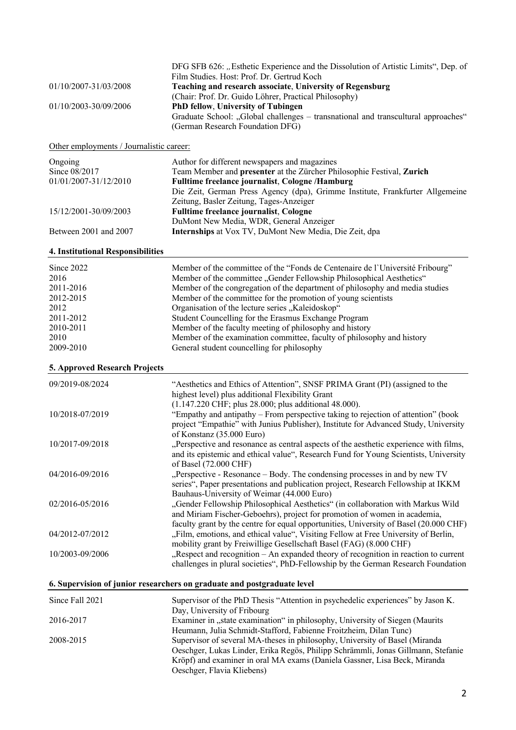| 01/10/2007-31/03/2008<br>01/10/2003-30/09/2006                                                      | DFG SFB 626: "Esthetic Experience and the Dissolution of Artistic Limits", Dep. of<br>Film Studies. Host: Prof. Dr. Gertrud Koch<br>Teaching and research associate, University of Regensburg<br>(Chair: Prof. Dr. Guido Löhrer, Practical Philosophy)<br>PhD fellow, University of Tubingen<br>Graduate School: "Global challenges - transnational and transcultural approaches"<br>(German Research Foundation DFG)                                                                                                                                                                                 |
|-----------------------------------------------------------------------------------------------------|-------------------------------------------------------------------------------------------------------------------------------------------------------------------------------------------------------------------------------------------------------------------------------------------------------------------------------------------------------------------------------------------------------------------------------------------------------------------------------------------------------------------------------------------------------------------------------------------------------|
| Other employments / Journalistic career:                                                            |                                                                                                                                                                                                                                                                                                                                                                                                                                                                                                                                                                                                       |
| Ongoing<br>Since 08/2017<br>01/01/2007-31/12/2010                                                   | Author for different newspapers and magazines<br>Team Member and presenter at the Zürcher Philosophie Festival, Zurich<br>Fulltime freelance journalist, Cologne /Hamburg<br>Die Zeit, German Press Agency (dpa), Grimme Institute, Frankfurter Allgemeine                                                                                                                                                                                                                                                                                                                                            |
| 15/12/2001-30/09/2003                                                                               | Zeitung, Basler Zeitung, Tages-Anzeiger<br><b>Fulltime freelance journalist, Cologne</b><br>DuMont New Media, WDR, General Anzeiger                                                                                                                                                                                                                                                                                                                                                                                                                                                                   |
| Between 2001 and 2007                                                                               | Internships at Vox TV, DuMont New Media, Die Zeit, dpa                                                                                                                                                                                                                                                                                                                                                                                                                                                                                                                                                |
| 4. Institutional Responsibilities                                                                   |                                                                                                                                                                                                                                                                                                                                                                                                                                                                                                                                                                                                       |
| Since 2022<br>2016<br>2011-2016<br>2012-2015<br>2012<br>2011-2012<br>2010-2011<br>2010<br>2009-2010 | Member of the committee of the "Fonds de Centenaire de l'Université Fribourg"<br>Member of the committee "Gender Fellowship Philosophical Aesthetics"<br>Member of the congregation of the department of philosophy and media studies<br>Member of the committee for the promotion of young scientists<br>Organisation of the lecture series "Kaleidoskop"<br>Student Councelling for the Erasmus Exchange Program<br>Member of the faculty meeting of philosophy and history<br>Member of the examination committee, faculty of philosophy and history<br>General student councelling for philosophy |
| 5. Approved Research Projects                                                                       |                                                                                                                                                                                                                                                                                                                                                                                                                                                                                                                                                                                                       |
| 09/2019-08/2024                                                                                     | "Aesthetics and Ethics of Attention", SNSF PRIMA Grant (PI) (assigned to the<br>highest level) plus additional Flexibility Grant<br>(1.147.220 CHF; plus 28.000; plus additional 48.000).                                                                                                                                                                                                                                                                                                                                                                                                             |
| 10/2018-07/2019                                                                                     | "Empathy and antipathy – From perspective taking to rejection of attention" (book<br>project "Empathie" with Junius Publisher), Institute for Advanced Study, University<br>of Konstanz (35.000 Euro)                                                                                                                                                                                                                                                                                                                                                                                                 |
| 10/2017-09/2018                                                                                     | Perspective and resonance as central aspects of the aesthetic experience with films,<br>and its epistemic and ethical value", Research Fund for Young Scientists, University<br>of Basel (72.000 CHF)                                                                                                                                                                                                                                                                                                                                                                                                 |
| 04/2016-09/2016                                                                                     | "Perspective - Resonance – Body. The condensing processes in and by new TV<br>series", Paper presentations and publication project, Research Fellowship at IKKM<br>Bauhaus-University of Weimar (44.000 Euro)                                                                                                                                                                                                                                                                                                                                                                                         |
| 02/2016-05/2016                                                                                     | "Gender Fellowship Philosophical Aesthetics" (in collaboration with Markus Wild<br>and Miriam Fischer-Geboehrs), project for promotion of women in academia,<br>faculty grant by the centre for equal opportunities, University of Basel (20.000 CHF)                                                                                                                                                                                                                                                                                                                                                 |
| 04/2012-07/2012                                                                                     | "Film, emotions, and ethical value", Visiting Fellow at Free University of Berlin,<br>mobility grant by Freiwillige Gesellschaft Basel (FAG) (8.000 CHF)                                                                                                                                                                                                                                                                                                                                                                                                                                              |
| 10/2003-09/2006                                                                                     | "Respect and recognition - An expanded theory of recognition in reaction to current<br>challenges in plural societies", PhD-Fellowship by the German Research Foundation                                                                                                                                                                                                                                                                                                                                                                                                                              |
|                                                                                                     | 6. Supervision of junior researchers on graduate and postgraduate level                                                                                                                                                                                                                                                                                                                                                                                                                                                                                                                               |
| Since Fall 2021                                                                                     | Supervisor of the PhD Thesis "Attention in psychedelic experiences" by Jason K.<br>Day, University of Fribourg                                                                                                                                                                                                                                                                                                                                                                                                                                                                                        |
| 2016-2017                                                                                           | Examiner in "state examination" in philosophy, University of Siegen (Maurits<br>Heumann, Julia Schmidt-Stafford, Fabienne Froitzheim, Dilan Tunc)                                                                                                                                                                                                                                                                                                                                                                                                                                                     |
| 2008-2015                                                                                           | Supervisor of several MA-theses in philosophy, University of Basel (Miranda<br>Oeschger, Lukas Linder, Erika Regös, Philipp Schrämmli, Jonas Gillmann, Stefanie                                                                                                                                                                                                                                                                                                                                                                                                                                       |

Kröpf) and examiner in oral MA exams (Daniela Gassner, Lisa Beck, Miranda

Oeschger, Flavia Kliebens)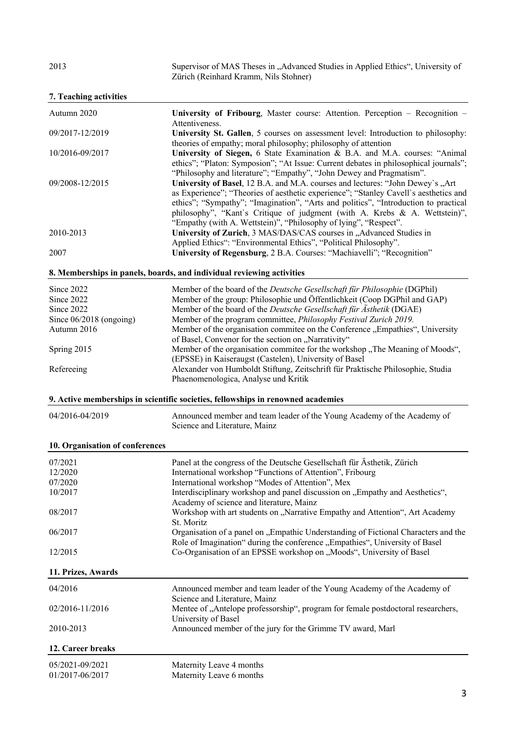2013 Supervisor of MAS Theses in "Advanced Studies in Applied Ethics", University of Zürich (Reinhard Kramm, Nils Stohner)

| 7. Teaching activities |  |
|------------------------|--|
|------------------------|--|

| Autumn 2020               | University of Fribourg, Master course: Attention. Perception - Recognition -         |
|---------------------------|--------------------------------------------------------------------------------------|
|                           | Attentiveness.                                                                       |
| 09/2017-12/2019           | University St. Gallen, 5 courses on assessment level: Introduction to philosophy:    |
|                           | theories of empathy; moral philosophy; philosophy of attention                       |
| 10/2016-09/2017           | University of Siegen, 6 State Examination & B.A. and M.A. courses: "Animal           |
|                           | ethics"; "Platon: Symposion"; "At Issue: Current debates in philosophical journals"; |
|                           | "Philosophy and literature"; "Empathy", "John Dewey and Pragmatism".                 |
| 09/2008-12/2015           | University of Basel, 12 B.A. and M.A. courses and lectures: "John Dewey's "Art       |
|                           | as Experience"; "Theories of aesthetic experience"; "Stanley Cavell's aesthetics and |
|                           | ethics"; "Sympathy"; "Imagination", "Arts and politics", "Introduction to practical  |
|                           | philosophy", "Kant's Critique of judgment (with A. Krebs & A. Wettstein)",           |
|                           | "Empathy (with A. Wettstein)", "Philosophy of lying", "Respect".                     |
| 2010-2013                 | University of Zurich, 3 MAS/DAS/CAS courses in "Advanced Studies in                  |
|                           | Applied Ethics": "Environmental Ethics", "Political Philosophy".                     |
| 2007                      | University of Regensburg, 2 B.A. Courses: "Machiavelli"; "Recognition"               |
|                           | 8. Memberships in panels, boards, and individual reviewing activities                |
| Since 2022                | Member of the board of the Deutsche Gesellschaft für Philosophie (DGPhil)            |
| Since 2022                | Member of the group: Philosophie und Öffentlichkeit (Coop DGPhil and GAP)            |
| Since 2022                | Member of the board of the Deutsche Gesellschaft für Ästhetik (DGAE)                 |
| Since $06/2018$ (ongoing) | Member of the program committee, <i>Philosophy Festival Zurich 2019</i> .            |
| Autumn 2016               | Member of the organisation commitee on the Conference "Empathies", University        |
|                           | of Basel, Convenor for the section on "Narrativity"                                  |
| Spring 2015               | Member of the organisation commitee for the workshop "The Meaning of Moods",         |
|                           | (EPSSE) in Kaiseraugst (Castelen), University of Basel                               |
| Refereeing                | Alexander von Humboldt Stiftung, Zeitschrift für Praktische Philosophie, Studia      |
|                           | Phaenomenologica, Analyse und Kritik                                                 |
|                           | 9. Active memberships in scientific societies, fellowships in renowned academies     |
| 04/2016-04/2019           | Announced member and team leader of the Young Academy of the Academy of              |

# Science and Literature, Mainz

### **10. Organisation of conferences**

| 07/2021 | Panel at the congress of the Deutsche Gesellschaft für Ästhetik, Zürich            |
|---------|------------------------------------------------------------------------------------|
| 12/2020 | International workshop "Functions of Attention", Fribourg                          |
| 07/2020 | International workshop "Modes of Attention", Mex                                   |
| 10/2017 | Interdisciplinary workshop and panel discussion on "Empathy and Aesthetics",       |
|         | Academy of science and literature, Mainz                                           |
| 08/2017 | Workshop with art students on "Narrative Empathy and Attention", Art Academy       |
|         | St. Moritz                                                                         |
| 06/2017 | Organisation of a panel on "Empathic Understanding of Fictional Characters and the |
|         | Role of Imagination" during the conference "Empathies", University of Basel        |
| 12/2015 | Co-Organisation of an EPSSE workshop on "Moods", University of Basel               |
|         |                                                                                    |

#### **11. Prizes, Awards**

| 12. Career breaks |                                                                                                          |
|-------------------|----------------------------------------------------------------------------------------------------------|
| 2010-2013         | Announced member of the jury for the Grimme TV award, Marl                                               |
| 02/2016-11/2016   | Mentee of "Antelope professorship", program for female postdoctoral researchers,<br>University of Basel  |
| 04/2016           | Announced member and team leader of the Young Academy of the Academy of<br>Science and Literature, Mainz |

| 05/2021-09/2021 |  |
|-----------------|--|
| 01/2017-06/2017 |  |